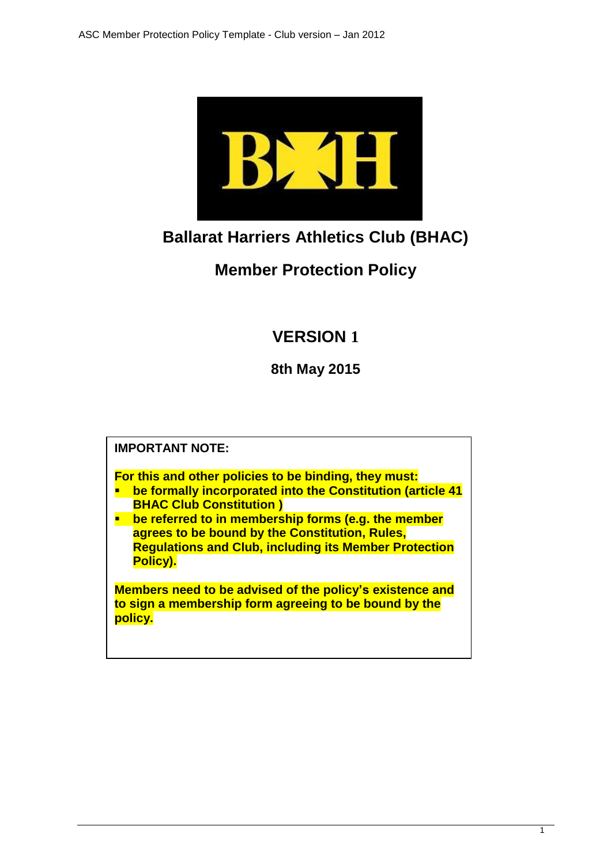

# **Ballarat Harriers Athletics Club (BHAC)**

# **Member Protection Policy**

# **VERSION 1**

**8th May 2015**

**IMPORTANT NOTE:**

**For this and other policies to be binding, they must:**

- **be formally incorporated into the Constitution (article 41 BHAC Club Constitution )**
- **EXTE:** the referred to in membership forms (e.g. the member **agrees to be bound by the Constitution, Rules, Regulations and Club, including its Member Protection Policy).**

**Members need to be advised of the policy's existence and to sign a membership form agreeing to be bound by the policy.**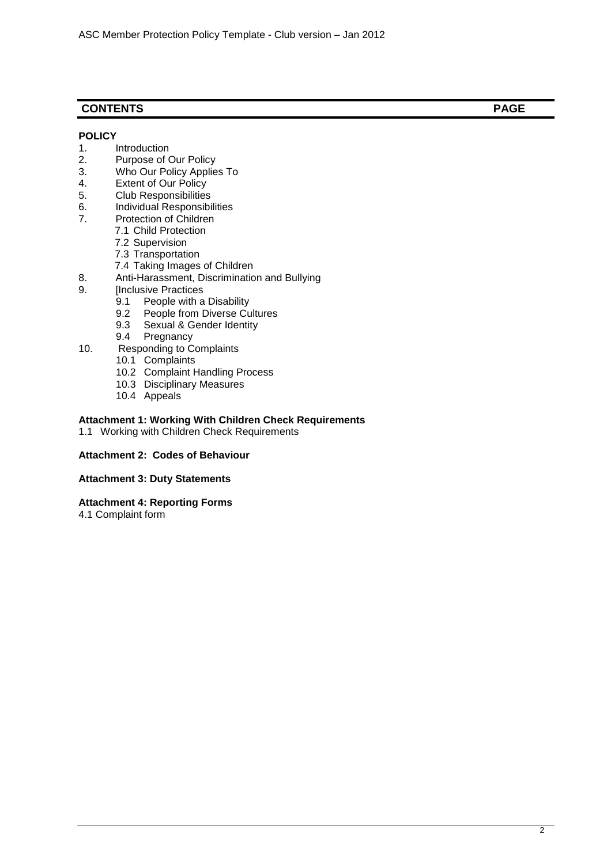# **CONTENTS PAGE**

## **POLICY**

- 1. Introduction<br>2. Purpose of 0
- Purpose of Our Policy
- 3. Who Our Policy Applies To<br>4. Extent of Our Policy
- 4. Extent of Our Policy<br>5. Club Responsibilities
- Club Responsibilities
- 6. Individual Responsibilities<br>7. Protection of Children
- Protection of Children
	- 7.1 Child Protection
	- 7.2 Supervision
	- 7.3 Transportation
	- 7.4 Taking Images of Children
- 8. Anti-Harassment, Discrimination and Bullying<br>9. [Inclusive Practices
- [Inclusive Practices
	- 9.1 People with a Disability
	- 9.2 People from Diverse Cultures
	- 9.3 Sexual & Gender Identity<br>9.4 Pregnancy
	- Pregnancy
- 10. Responding to Complaints
	- 10.1 Complaints
	- 10.2 Complaint Handling Process
	- 10.3 Disciplinary Measures
	- 10.4 Appeals

#### **Attachment 1: Working With Children Check Requirements**

1.1 Working with Children Check Requirements

# **Attachment 2: Codes of Behaviour**

#### **Attachment 3: Duty Statements**

## **Attachment 4: Reporting Forms**

4.1 Complaint form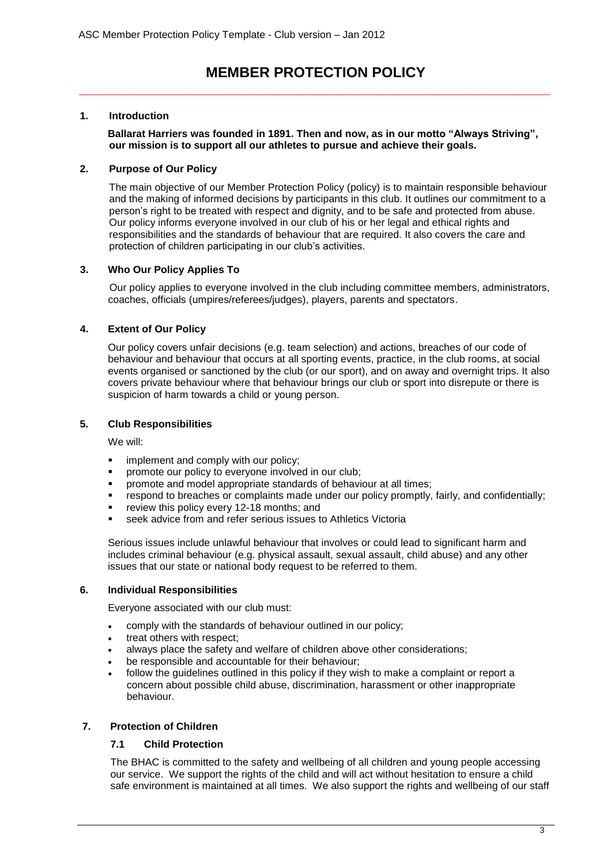# **MEMBER PROTECTION POLICY** *\_\_\_\_\_\_\_\_\_\_\_\_\_\_\_\_\_\_\_\_\_\_\_\_\_\_\_\_\_\_\_\_\_\_\_\_\_\_\_\_\_\_\_\_\_\_\_\_\_\_\_\_\_\_\_\_\_\_\_*

# **1. Introduction**

**Ballarat Harriers was founded in 1891. Then and now, as in our motto "Always Striving", our mission is to support all our athletes to pursue and achieve their goals.** 

# **2. Purpose of Our Policy**

The main objective of our Member Protection Policy (policy) is to maintain responsible behaviour and the making of informed decisions by participants in this club. It outlines our commitment to a person's right to be treated with respect and dignity, and to be safe and protected from abuse. Our policy informs everyone involved in our club of his or her legal and ethical rights and responsibilities and the standards of behaviour that are required. It also covers the care and protection of children participating in our club's activities.

# **3. Who Our Policy Applies To**

Our policy applies to everyone involved in the club including committee members, administrators, coaches, officials (umpires/referees/judges), players, parents and spectators.

# **4. Extent of Our Policy**

Our policy covers unfair decisions (e.g. team selection) and actions, breaches of our code of behaviour and behaviour that occurs at all sporting events, practice, in the club rooms, at social events organised or sanctioned by the club (or our sport), and on away and overnight trips. It also covers private behaviour where that behaviour brings our club or sport into disrepute or there is suspicion of harm towards a child or young person.

## **5. Club Responsibilities**

We will:

- **implement and comply with our policy;**
- **•** promote our policy to everyone involved in our club;
- promote and model appropriate standards of behaviour at all times;
- respond to breaches or complaints made under our policy promptly, fairly, and confidentially;
- review this policy every 12-18 months; and
- seek advice from and refer serious issues to Athletics Victoria

Serious issues include unlawful behaviour that involves or could lead to significant harm and includes criminal behaviour (e.g. physical assault, sexual assault, child abuse) and any other issues that our state or national body request to be referred to them.

## **6. Individual Responsibilities**

Everyone associated with our club must:

- comply with the standards of behaviour outlined in our policy;
- treat others with respect;
- always place the safety and welfare of children above other considerations;
- be responsible and accountable for their behaviour;
- follow the guidelines outlined in this policy if they wish to make a complaint or report a concern about possible child abuse, discrimination, harassment or other inappropriate behaviour.

## **7. Protection of Children**

## **7.1 Child Protection**

The BHAC is committed to the safety and wellbeing of all children and young people accessing our service. We support the rights of the child and will act without hesitation to ensure a child safe environment is maintained at all times. We also support the rights and wellbeing of our staff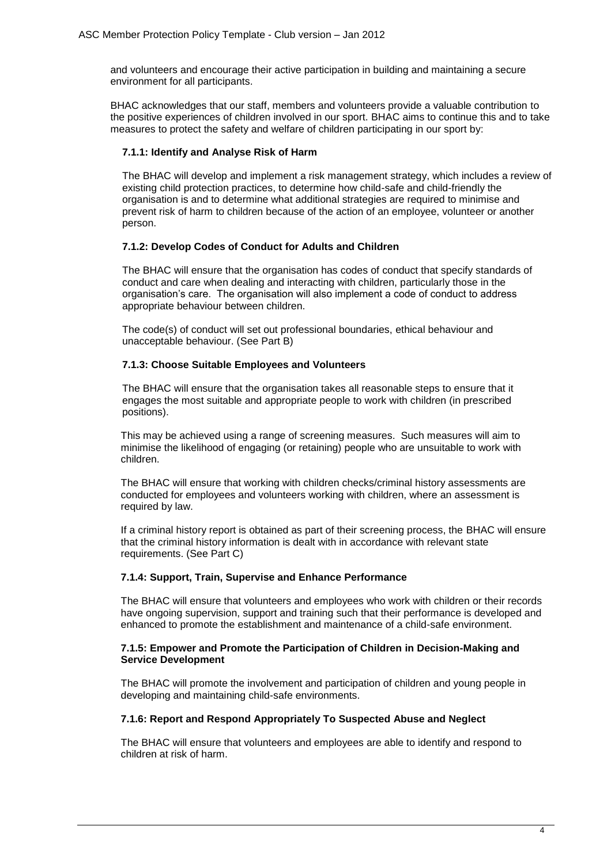and volunteers and encourage their active participation in building and maintaining a secure environment for all participants.

BHAC acknowledges that our staff, members and volunteers provide a valuable contribution to the positive experiences of children involved in our sport. BHAC aims to continue this and to take measures to protect the safety and welfare of children participating in our sport by:

#### **7.1.1: Identify and Analyse Risk of Harm**

The BHAC will develop and implement a risk management strategy, which includes a review of existing child protection practices, to determine how child-safe and child-friendly the organisation is and to determine what additional strategies are required to minimise and prevent risk of harm to children because of the action of an employee, volunteer or another person.

#### **7.1.2: Develop Codes of Conduct for Adults and Children**

The BHAC will ensure that the organisation has codes of conduct that specify standards of conduct and care when dealing and interacting with children, particularly those in the organisation's care. The organisation will also implement a code of conduct to address appropriate behaviour between children.

The code(s) of conduct will set out professional boundaries, ethical behaviour and unacceptable behaviour. (See Part B)

#### **7.1.3: Choose Suitable Employees and Volunteers**

The BHAC will ensure that the organisation takes all reasonable steps to ensure that it engages the most suitable and appropriate people to work with children (in prescribed positions).

This may be achieved using a range of screening measures. Such measures will aim to minimise the likelihood of engaging (or retaining) people who are unsuitable to work with children.

The BHAC will ensure that working with children checks/criminal history assessments are conducted for employees and volunteers working with children, where an assessment is required by law.

If a criminal history report is obtained as part of their screening process, the BHAC will ensure that the criminal history information is dealt with in accordance with relevant state requirements. (See Part C)

#### **7.1.4: Support, Train, Supervise and Enhance Performance**

The BHAC will ensure that volunteers and employees who work with children or their records have ongoing supervision, support and training such that their performance is developed and enhanced to promote the establishment and maintenance of a child-safe environment.

#### **7.1.5: Empower and Promote the Participation of Children in Decision-Making and Service Development**

The BHAC will promote the involvement and participation of children and young people in developing and maintaining child-safe environments.

#### **7.1.6: Report and Respond Appropriately To Suspected Abuse and Neglect**

The BHAC will ensure that volunteers and employees are able to identify and respond to children at risk of harm.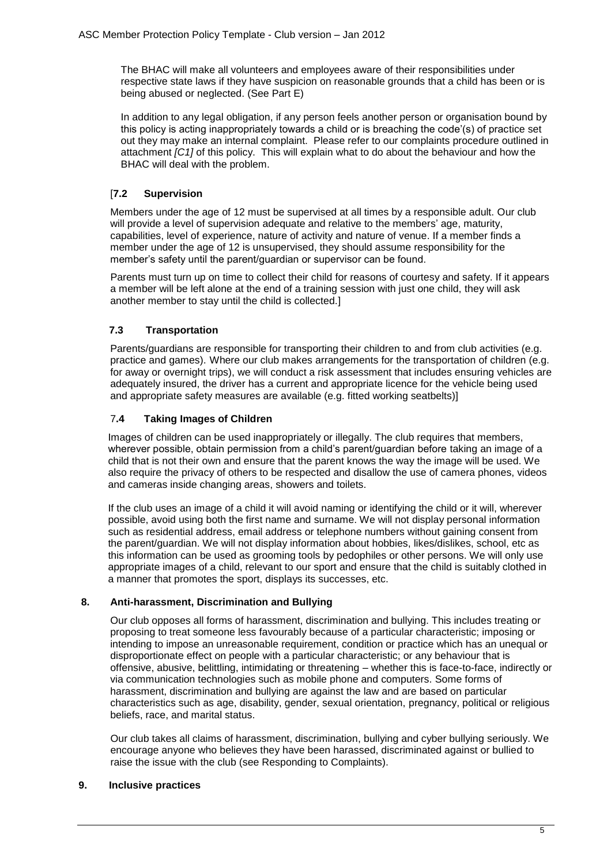The BHAC will make all volunteers and employees aware of their responsibilities under respective state laws if they have suspicion on reasonable grounds that a child has been or is being abused or neglected. (See Part E)

In addition to any legal obligation, if any person feels another person or organisation bound by this policy is acting inappropriately towards a child or is breaching the code'(s) of practice set out they may make an internal complaint. Please refer to our complaints procedure outlined in attachment *[C1]* of this policy. This will explain what to do about the behaviour and how the BHAC will deal with the problem.

# [**7.2 Supervision**

Members under the age of 12 must be supervised at all times by a responsible adult. Our club will provide a level of supervision adequate and relative to the members' age, maturity, capabilities, level of experience, nature of activity and nature of venue. If a member finds a member under the age of 12 is unsupervised, they should assume responsibility for the member's safety until the parent/guardian or supervisor can be found.

Parents must turn up on time to collect their child for reasons of courtesy and safety. If it appears a member will be left alone at the end of a training session with just one child, they will ask another member to stay until the child is collected.]

# **7.3 Transportation**

Parents/guardians are responsible for transporting their children to and from club activities (e.g. practice and games). Where our club makes arrangements for the transportation of children (e.g. for away or overnight trips), we will conduct a risk assessment that includes ensuring vehicles are adequately insured, the driver has a current and appropriate licence for the vehicle being used and appropriate safety measures are available (e.g. fitted working seatbelts)]

## 7**.4 Taking Images of Children**

Images of children can be used inappropriately or illegally. The club requires that members, wherever possible, obtain permission from a child's parent/guardian before taking an image of a child that is not their own and ensure that the parent knows the way the image will be used. We also require the privacy of others to be respected and disallow the use of camera phones, videos and cameras inside changing areas, showers and toilets.

If the club uses an image of a child it will avoid naming or identifying the child or it will, wherever possible, avoid using both the first name and surname. We will not display personal information such as residential address, email address or telephone numbers without gaining consent from the parent/guardian. We will not display information about hobbies, likes/dislikes, school, etc as this information can be used as grooming tools by pedophiles or other persons. We will only use appropriate images of a child, relevant to our sport and ensure that the child is suitably clothed in a manner that promotes the sport, displays its successes, etc.

## **8. Anti-harassment, Discrimination and Bullying**

Our club opposes all forms of harassment, discrimination and bullying. This includes treating or proposing to treat someone less favourably because of a particular characteristic; imposing or intending to impose an unreasonable requirement, condition or practice which has an unequal or disproportionate effect on people with a particular characteristic; or any behaviour that is offensive, abusive, belittling, intimidating or threatening – whether this is face-to-face, indirectly or via communication technologies such as mobile phone and computers. Some forms of harassment, discrimination and bullying are against the law and are based on particular characteristics such as age, disability, gender, sexual orientation, pregnancy, political or religious beliefs, race, and marital status.

Our club takes all claims of harassment, discrimination, bullying and cyber bullying seriously. We encourage anyone who believes they have been harassed, discriminated against or bullied to raise the issue with the club (see Responding to Complaints).

## **9. Inclusive practices**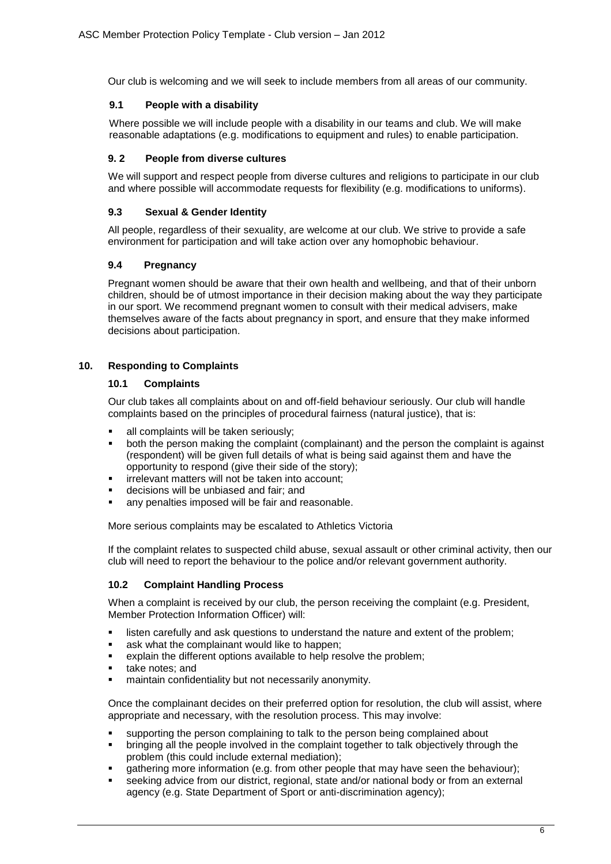Our club is welcoming and we will seek to include members from all areas of our community.

# **9.1 People with a disability**

Where possible we will include people with a disability in our teams and club. We will make reasonable adaptations (e.g. modifications to equipment and rules) to enable participation.

# **9. 2 People from diverse cultures**

We will support and respect people from diverse cultures and religions to participate in our club and where possible will accommodate requests for flexibility (e.g. modifications to uniforms).

# **9.3 Sexual & Gender Identity**

All people, regardless of their sexuality, are welcome at our club. We strive to provide a safe environment for participation and will take action over any homophobic behaviour.

# **9.4 Pregnancy**

Pregnant women should be aware that their own health and wellbeing, and that of their unborn children, should be of utmost importance in their decision making about the way they participate in our sport. We recommend pregnant women to consult with their medical advisers, make themselves aware of the facts about pregnancy in sport, and ensure that they make informed decisions about participation.

# **10. Responding to Complaints**

## **10.1 Complaints**

Our club takes all complaints about on and off-field behaviour seriously. Our club will handle complaints based on the principles of procedural fairness (natural justice), that is:

- all complaints will be taken seriously;
- both the person making the complaint (complainant) and the person the complaint is against (respondent) will be given full details of what is being said against them and have the opportunity to respond (give their side of the story);
- irrelevant matters will not be taken into account;
- decisions will be unbiased and fair; and
- **any penalties imposed will be fair and reasonable.**

More serious complaints may be escalated to Athletics Victoria

If the complaint relates to suspected child abuse, sexual assault or other criminal activity, then our club will need to report the behaviour to the police and/or relevant government authority.

## **10.2 Complaint Handling Process**

When a complaint is received by our club, the person receiving the complaint (e.g. President, Member Protection Information Officer) will:

- **EXECT** listen carefully and ask questions to understand the nature and extent of the problem;
- **ask what the complainant would like to happen;**
- explain the different options available to help resolve the problem;
- **take notes; and**
- maintain confidentiality but not necessarily anonymity.

Once the complainant decides on their preferred option for resolution, the club will assist, where appropriate and necessary, with the resolution process. This may involve:

- supporting the person complaining to talk to the person being complained about
- bringing all the people involved in the complaint together to talk objectively through the problem (this could include external mediation);
- gathering more information (e.g. from other people that may have seen the behaviour);
- seeking advice from our district, regional, state and/or national body or from an external agency (e.g. State Department of Sport or anti-discrimination agency);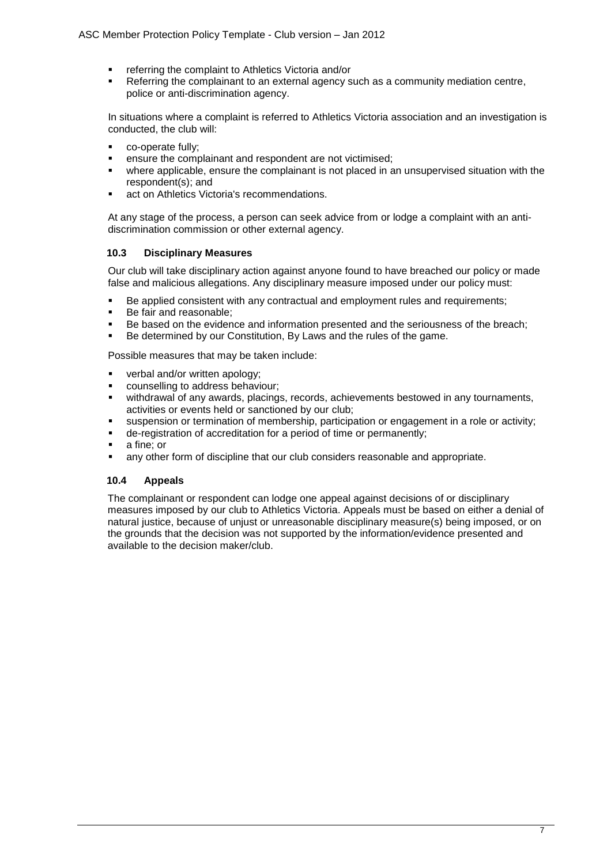- **F** referring the complaint to Athletics Victoria and/or
- **Referring the complainant to an external agency such as a community mediation centre,** police or anti-discrimination agency.

In situations where a complaint is referred to Athletics Victoria association and an investigation is conducted, the club will:

- co-operate fully;
- ensure the complainant and respondent are not victimised;
- where applicable, ensure the complainant is not placed in an unsupervised situation with the respondent(s); and
- **act on Athletics Victoria's recommendations.**

At any stage of the process, a person can seek advice from or lodge a complaint with an antidiscrimination commission or other external agency.

#### **10.3 Disciplinary Measures**

Our club will take disciplinary action against anyone found to have breached our policy or made false and malicious allegations. Any disciplinary measure imposed under our policy must:

- Be applied consistent with any contractual and employment rules and requirements;
- Be fair and reasonable;<br>Be based on the evidence
- Be based on the evidence and information presented and the seriousness of the breach;
- Be determined by our Constitution, By Laws and the rules of the game.

Possible measures that may be taken include:

- verbal and/or written apology;<br>counselling to address behavi
- counselling to address behaviour;
- withdrawal of any awards, placings, records, achievements bestowed in any tournaments, activities or events held or sanctioned by our club;
- suspension or termination of membership, participation or engagement in a role or activity;
- de-registration of accreditation for a period of time or permanently;
- $\overline{a}$  a fine; or
- any other form of discipline that our club considers reasonable and appropriate.

#### **10.4 Appeals**

The complainant or respondent can lodge one appeal against decisions of or disciplinary measures imposed by our club to Athletics Victoria. Appeals must be based on either a denial of natural justice, because of unjust or unreasonable disciplinary measure(s) being imposed, or on the grounds that the decision was not supported by the information/evidence presented and available to the decision maker/club.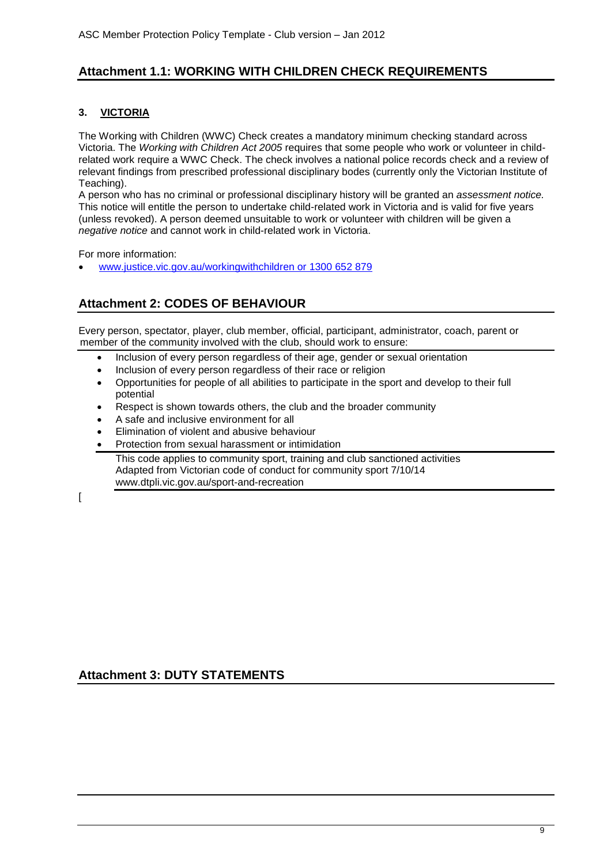# **Attachment 1.1: WORKING WITH CHILDREN CHECK REQUIREMENTS**

# **3. VICTORIA**

The Working with Children (WWC) Check creates a mandatory minimum checking standard across Victoria. The *Working with Children Act 2005* requires that some people who work or volunteer in childrelated work require a WWC Check. The check involves a national police records check and a review of relevant findings from prescribed professional disciplinary bodes (currently only the Victorian Institute of Teaching).

A person who has no criminal or professional disciplinary history will be granted an *assessment notice.*  This notice will entitle the person to undertake child-related work in Victoria and is valid for five years (unless revoked). A person deemed unsuitable to work or volunteer with children will be given a *negative notice* and cannot work in [child-related work](http://www.justice.vic.gov.au/CA2569020010922A/page/Business+Units-Working+With+Children+Check?OpenDocument&1=0-Business+Units~&2=0-Working+With+Children+Check~&3=~#what#what) in Victoria.

For more information:

[www.justice.vic.gov.au/workingwithchildren or 1300 652 879](http://www.justice.vic.gov.au/workingwithchildren%20or%201300%20652%20879)

# **Attachment 2: CODES OF BEHAVIOUR**

Every person, spectator, player, club member, official, participant, administrator, coach, parent or member of the community involved with the club, should work to ensure:

- Inclusion of every person regardless of their age, gender or sexual orientation
- Inclusion of every person regardless of their race or religion
- Opportunities for people of all abilities to participate in the sport and develop to their full potential
- Respect is shown towards others, the club and the broader community
- A safe and inclusive environment for all
- Elimination of violent and abusive behaviour
- Protection from sexual harassment or intimidation

This code applies to community sport, training and club sanctioned activities Adapted from Victorian code of conduct for community sport 7/10/14 www.dtpli.vic.gov.au/sport-and-recreation

 $\Gamma$ 

**Attachment 3: DUTY STATEMENTS**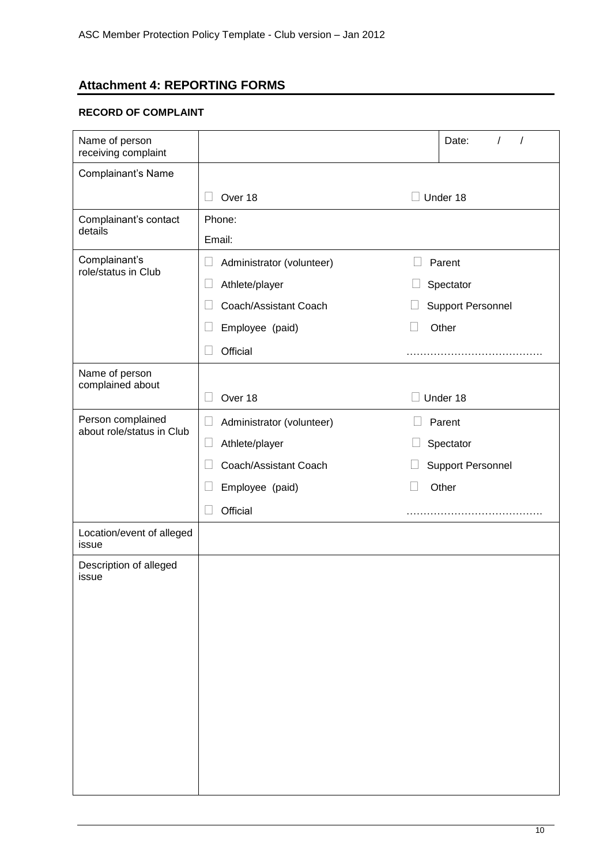# **Attachment 4: REPORTING FORMS**

# **RECORD OF COMPLAINT**

| Name of person<br>receiving complaint          |                                     |                          | Date:<br>$\prime$<br>$\prime$ |  |  |
|------------------------------------------------|-------------------------------------|--------------------------|-------------------------------|--|--|
| Complainant's Name                             |                                     |                          |                               |  |  |
|                                                | Over 18<br>$\mathbf{I}$             |                          | $\Box$ Under 18               |  |  |
| Complainant's contact<br>details               | Phone:                              |                          |                               |  |  |
|                                                | Email:                              |                          |                               |  |  |
| Complainant's<br>role/status in Club           | Administrator (volunteer)<br>Ш      |                          | Parent                        |  |  |
|                                                | Athlete/player<br>Ш                 | Spectator                |                               |  |  |
|                                                | Coach/Assistant Coach               | <b>Support Personnel</b> |                               |  |  |
|                                                | Employee (paid)<br>⊔                | $\overline{\phantom{0}}$ | Other                         |  |  |
|                                                | Official                            |                          |                               |  |  |
| Name of person                                 |                                     |                          |                               |  |  |
| complained about                               | Over 18                             |                          | Under 18                      |  |  |
| Person complained<br>about role/status in Club | Administrator (volunteer)<br>$\Box$ |                          | Parent                        |  |  |
|                                                | Athlete/player<br>$\Box$            |                          | Spectator                     |  |  |
|                                                | Coach/Assistant Coach               |                          | <b>Support Personnel</b>      |  |  |
|                                                | Employee (paid)                     |                          | Other                         |  |  |
|                                                | Official                            |                          |                               |  |  |
| Location/event of alleged<br>issue             |                                     |                          |                               |  |  |
| Description of alleged<br>issue                |                                     |                          |                               |  |  |
|                                                |                                     |                          |                               |  |  |
|                                                |                                     |                          |                               |  |  |
|                                                |                                     |                          |                               |  |  |
|                                                |                                     |                          |                               |  |  |
|                                                |                                     |                          |                               |  |  |
|                                                |                                     |                          |                               |  |  |
|                                                |                                     |                          |                               |  |  |
|                                                |                                     |                          |                               |  |  |
|                                                |                                     |                          |                               |  |  |
|                                                |                                     |                          |                               |  |  |